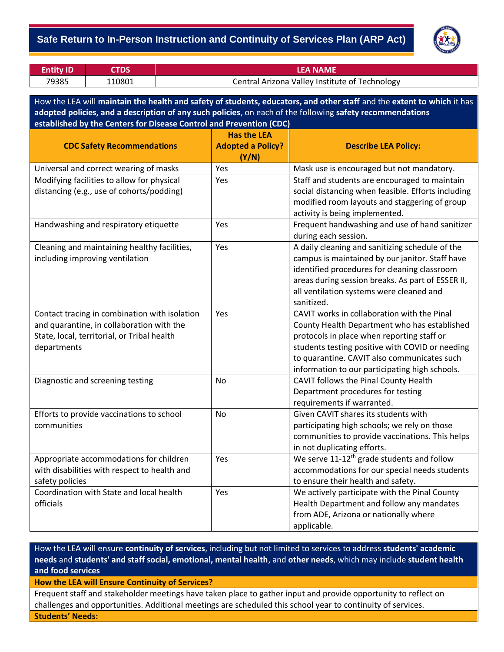## - **Safe Return to In-Person Instruction and Continuity of Services Plan (ARP Act)**



| <b>Entity ID</b> |        | LEA NAME                                       |
|------------------|--------|------------------------------------------------|
| 79385            | 110801 | Central Arizona Valley Institute of Technology |

How the LEA will **maintain the health and safety of students, educators, and other staff** and the **extent to which** it has **adopted policies, and a description of any such policies**, on each of the following **safety recommendations established by the Centers for Disease Control and Prevention (CDC)**

|                                               | <b>Has the LEA</b>                |                                                        |
|-----------------------------------------------|-----------------------------------|--------------------------------------------------------|
| <b>CDC Safety Recommendations</b>             | <b>Adopted a Policy?</b><br>(Y/N) | <b>Describe LEA Policy:</b>                            |
| Universal and correct wearing of masks        | Yes                               | Mask use is encouraged but not mandatory.              |
| Modifying facilities to allow for physical    | Yes                               | Staff and students are encouraged to maintain          |
| distancing (e.g., use of cohorts/podding)     |                                   | social distancing when feasible. Efforts including     |
|                                               |                                   | modified room layouts and staggering of group          |
|                                               |                                   | activity is being implemented.                         |
| Handwashing and respiratory etiquette         | Yes                               | Frequent handwashing and use of hand sanitizer         |
|                                               |                                   | during each session.                                   |
| Cleaning and maintaining healthy facilities,  | Yes                               | A daily cleaning and sanitizing schedule of the        |
| including improving ventilation               |                                   | campus is maintained by our janitor. Staff have        |
|                                               |                                   | identified procedures for cleaning classroom           |
|                                               |                                   | areas during session breaks. As part of ESSER II,      |
|                                               |                                   | all ventilation systems were cleaned and               |
|                                               |                                   | sanitized.                                             |
| Contact tracing in combination with isolation | Yes                               | CAVIT works in collaboration with the Pinal            |
| and quarantine, in collaboration with the     |                                   | County Health Department who has established           |
| State, local, territorial, or Tribal health   |                                   | protocols in place when reporting staff or             |
| departments                                   |                                   | students testing positive with COVID or needing        |
|                                               |                                   | to quarantine. CAVIT also communicates such            |
|                                               |                                   | information to our participating high schools.         |
| Diagnostic and screening testing              | <b>No</b>                         | CAVIT follows the Pinal County Health                  |
|                                               |                                   | Department procedures for testing                      |
|                                               |                                   | requirements if warranted.                             |
| Efforts to provide vaccinations to school     | <b>No</b>                         | Given CAVIT shares its students with                   |
| communities                                   |                                   | participating high schools; we rely on those           |
|                                               |                                   | communities to provide vaccinations. This helps        |
|                                               |                                   | in not duplicating efforts.                            |
| Appropriate accommodations for children       | Yes                               | We serve 11-12 <sup>th</sup> grade students and follow |
| with disabilities with respect to health and  |                                   | accommodations for our special needs students          |
| safety policies                               |                                   | to ensure their health and safety.                     |
| Coordination with State and local health      | Yes                               | We actively participate with the Pinal County          |
| officials                                     |                                   | Health Department and follow any mandates              |
|                                               |                                   | from ADE, Arizona or nationally where                  |
|                                               |                                   | applicable.                                            |

How the LEA will ensure **continuity of services**, including but not limited to services to address **students' academic needs** and **students' and staff social, emotional, mental health**, and **other needs**, which may include **student health and food services**

**How the LEA will Ensure Continuity of Services?**

Frequent staff and stakeholder meetings have taken place to gather input and provide opportunity to reflect on challenges and opportunities. Additional meetings are scheduled this school year to continuity of services. **Students' Needs:**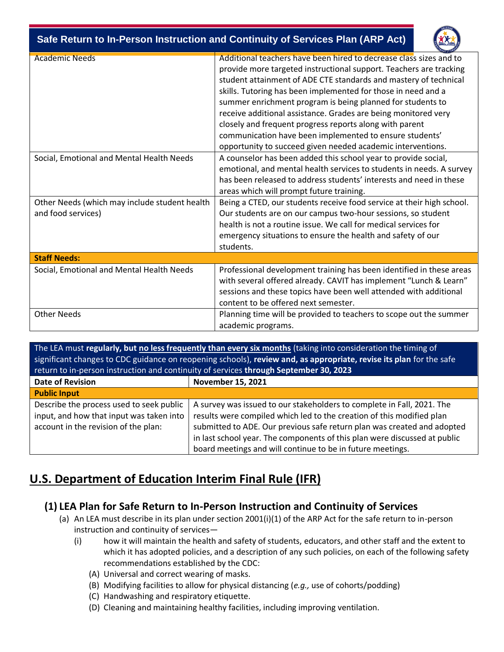| Safe Return to In-Person Instruction and Continuity of Services Plan (ARP Act) |  |
|--------------------------------------------------------------------------------|--|



| <b>Academic Needs</b>                                               | Additional teachers have been hired to decrease class sizes and to<br>provide more targeted instructional support. Teachers are tracking<br>student attainment of ADE CTE standards and mastery of technical<br>skills. Tutoring has been implemented for those in need and a<br>summer enrichment program is being planned for students to<br>receive additional assistance. Grades are being monitored very<br>closely and frequent progress reports along with parent<br>communication have been implemented to ensure students'<br>opportunity to succeed given needed academic interventions. |  |  |  |
|---------------------------------------------------------------------|----------------------------------------------------------------------------------------------------------------------------------------------------------------------------------------------------------------------------------------------------------------------------------------------------------------------------------------------------------------------------------------------------------------------------------------------------------------------------------------------------------------------------------------------------------------------------------------------------|--|--|--|
| Social, Emotional and Mental Health Needs                           | A counselor has been added this school year to provide social,<br>emotional, and mental health services to students in needs. A survey<br>has been released to address students' interests and need in these<br>areas which will prompt future training.                                                                                                                                                                                                                                                                                                                                           |  |  |  |
| Other Needs (which may include student health<br>and food services) | Being a CTED, our students receive food service at their high school.<br>Our students are on our campus two-hour sessions, so student<br>health is not a routine issue. We call for medical services for<br>emergency situations to ensure the health and safety of our<br>students.                                                                                                                                                                                                                                                                                                               |  |  |  |
| <b>Staff Needs:</b>                                                 |                                                                                                                                                                                                                                                                                                                                                                                                                                                                                                                                                                                                    |  |  |  |
| Social, Emotional and Mental Health Needs                           | Professional development training has been identified in these areas<br>with several offered already. CAVIT has implement "Lunch & Learn"<br>sessions and these topics have been well attended with additional<br>content to be offered next semester.                                                                                                                                                                                                                                                                                                                                             |  |  |  |
| <b>Other Needs</b>                                                  | Planning time will be provided to teachers to scope out the summer<br>academic programs.                                                                                                                                                                                                                                                                                                                                                                                                                                                                                                           |  |  |  |

The LEA must **regularly, but no less frequently than every six months** (taking into consideration the timing of significant changes to CDC guidance on reopening schools), **review and, as appropriate, revise its plan** for the safe return to in-person instruction and continuity of services **through September 30, 2023 Date of Revision November 15, 2021 Public Input** Describe the process used to seek public input, and how that input was taken into account in the revision of the plan: A survey was issued to our stakeholders to complete in Fall, 2021. The results were compiled which led to the creation of this modified plan submitted to ADE. Our previous safe return plan was created and adopted in last school year. The components of this plan were discussed at public board meetings and will continue to be in future meetings.

## **U.S. Department of Education Interim Final Rule (IFR)**

## **(1) LEA Plan for Safe Return to In-Person Instruction and Continuity of Services**

- (a) An LEA must describe in its plan under section 2001(i)(1) of the ARP Act for the safe return to in-person instruction and continuity of services—
	- (i) how it will maintain the health and safety of students, educators, and other staff and the extent to which it has adopted policies, and a description of any such policies, on each of the following safety recommendations established by the CDC:
		- (A) Universal and correct wearing of masks.
		- (B) Modifying facilities to allow for physical distancing (*e.g.,* use of cohorts/podding)
		- (C) Handwashing and respiratory etiquette.
		- (D) Cleaning and maintaining healthy facilities, including improving ventilation.